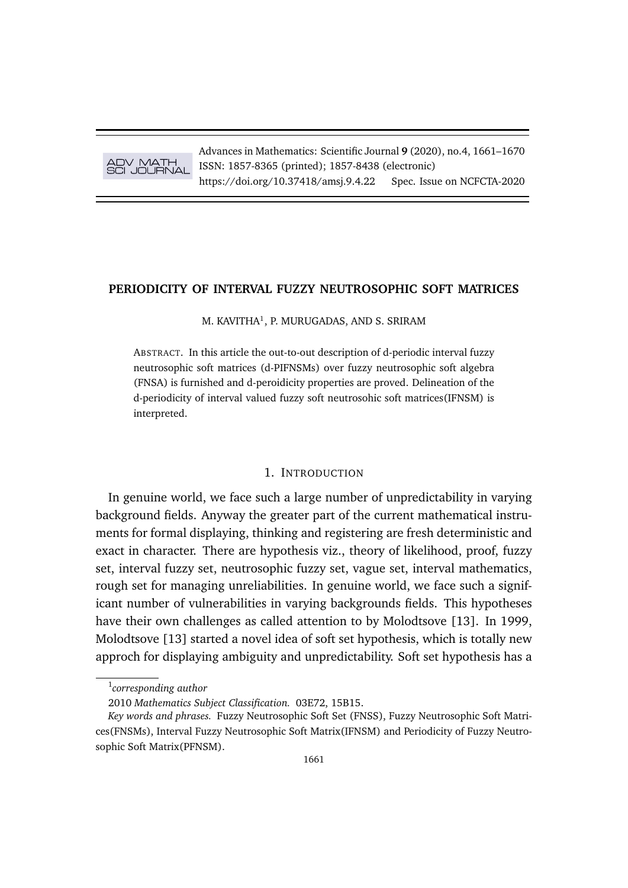

Advances in Mathematics: Scientific Journal **9** (2020), no.4, 1661–1670 ISSN: 1857-8365 (printed); 1857-8438 (electronic) https://doi.org/10.37418/amsj.9.4.22 Spec. Issue on NCFCTA-2020

# **PERIODICITY OF INTERVAL FUZZY NEUTROSOPHIC SOFT MATRICES**

M. KAVITHA $^1$ , P. MURUGADAS, AND S. SRIRAM

ABSTRACT. In this article the out-to-out description of d-periodic interval fuzzy neutrosophic soft matrices (d-PIFNSMs) over fuzzy neutrosophic soft algebra (FNSA) is furnished and d-peroidicity properties are proved. Delineation of the d-periodicity of interval valued fuzzy soft neutrosohic soft matrices(IFNSM) is interpreted.

# 1. INTRODUCTION

In genuine world, we face such a large number of unpredictability in varying background fields. Anyway the greater part of the current mathematical instruments for formal displaying, thinking and registering are fresh deterministic and exact in character. There are hypothesis viz., theory of likelihood, proof, fuzzy set, interval fuzzy set, neutrosophic fuzzy set, vague set, interval mathematics, rough set for managing unreliabilities. In genuine world, we face such a significant number of vulnerabilities in varying backgrounds fields. This hypotheses have their own challenges as called attention to by Molodtsove [13]. In 1999, Molodtsove [13] started a novel idea of soft set hypothesis, which is totally new approch for displaying ambiguity and unpredictability. Soft set hypothesis has a

<sup>1</sup> *corresponding author*

<sup>2010</sup> *Mathematics Subject Classification.* 03E72, 15B15.

*Key words and phrases.* Fuzzy Neutrosophic Soft Set (FNSS), Fuzzy Neutrosophic Soft Matrices(FNSMs), Interval Fuzzy Neutrosophic Soft Matrix(IFNSM) and Periodicity of Fuzzy Neutrosophic Soft Matrix(PFNSM).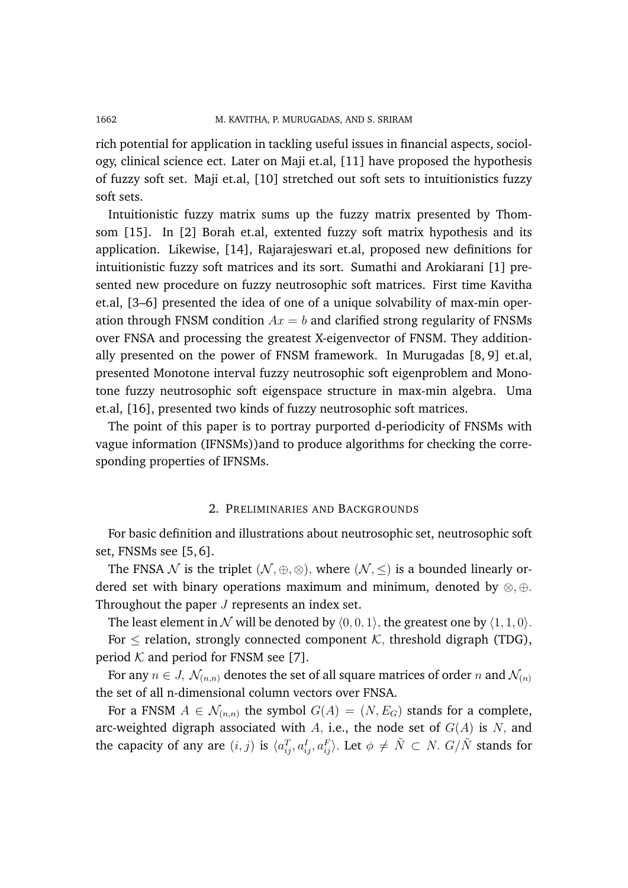rich potential for application in tackling useful issues in financial aspects, sociology, clinical science ect. Later on Maji et.al, [11] have proposed the hypothesis of fuzzy soft set. Maji et.al, [10] stretched out soft sets to intuitionistics fuzzy soft sets.

Intuitionistic fuzzy matrix sums up the fuzzy matrix presented by Thomsom [15]. In [2] Borah et.al, extented fuzzy soft matrix hypothesis and its application. Likewise, [14], Rajarajeswari et.al, proposed new definitions for intuitionistic fuzzy soft matrices and its sort. Sumathi and Arokiarani [1] presented new procedure on fuzzy neutrosophic soft matrices. First time Kavitha et.al, [3–6] presented the idea of one of a unique solvability of max-min operation through FNSM condition  $Ax = b$  and clarified strong regularity of FNSMs over FNSA and processing the greatest X-eigenvector of FNSM. They additionally presented on the power of FNSM framework. In Murugadas [8, 9] et.al, presented Monotone interval fuzzy neutrosophic soft eigenproblem and Monotone fuzzy neutrosophic soft eigenspace structure in max-min algebra. Uma et.al, [16], presented two kinds of fuzzy neutrosophic soft matrices.

The point of this paper is to portray purported d-periodicity of FNSMs with vague information (IFNSMs))and to produce algorithms for checking the corresponding properties of IFNSMs.

#### 2. PRELIMINARIES AND BACKGROUNDS

For basic definition and illustrations about neutrosophic set, neutrosophic soft set, FNSMs see [5, 6].

The FNSA N is the triplet  $(N, \oplus, \otimes)$ , where  $(N, \leq)$  is a bounded linearly ordered set with binary operations maximum and minimum, denoted by  $\otimes$ ,  $\oplus$ . Throughout the paper  $J$  represents an index set.

The least element in N will be denoted by  $\langle 0, 0, 1 \rangle$ , the greatest one by  $\langle 1, 1, 0 \rangle$ . For  $\le$  relation, strongly connected component  $K$ , threshold digraph (TDG), period  $K$  and period for FNSM see [7].

For any  $n \in J$ ,  $\mathcal{N}_{(n,n)}$  denotes the set of all square matrices of order n and  $\mathcal{N}_{(n)}$ the set of all n-dimensional column vectors over FNSA.

For a FNSM  $A \in \mathcal{N}_{(n,n)}$  the symbol  $G(A) = (N, E_G)$  stands for a complete, arc-weighted digraph associated with A, i.e., the node set of  $G(A)$  is N, and the capacity of any are  $(i, j)$  is  $\langle a_{ij}^T, a_{ij}^I, a_{ij}^F \rangle$ . Let  $\phi \neq \tilde{N} \subset N$ .  $G/\tilde{N}$  stands for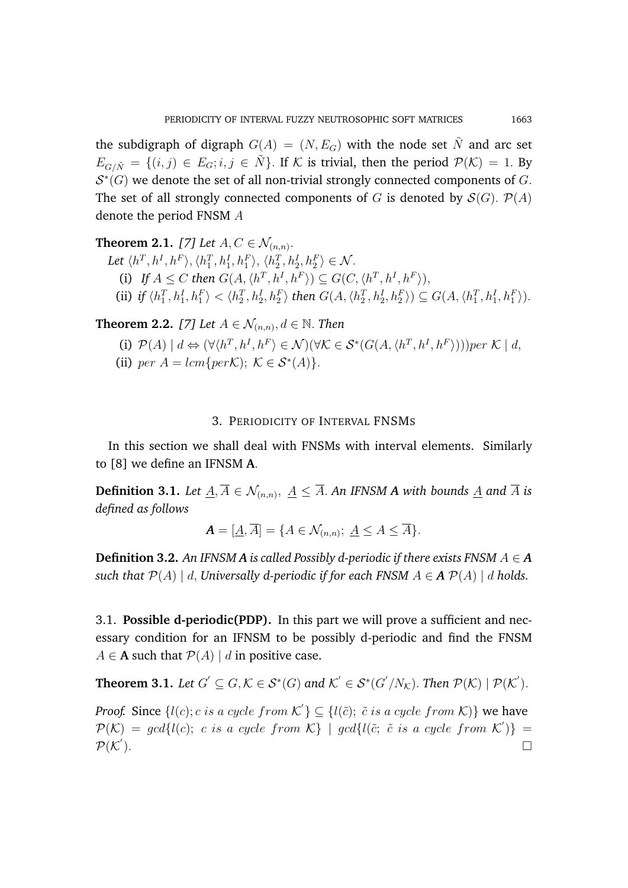the subdigraph of digraph  $G(A) = (N, E_G)$  with the node set N and arc set  $E_{G/\tilde{N}} = \{(i, j) \in E_G; i, j \in \tilde{N}\}\$ . If K is trivial, then the period  $\mathcal{P}(\mathcal{K}) = 1$ . By  $\mathcal{S}^*(G)$  we denote the set of all non-trivial strongly connected components of G. The set of all strongly connected components of G is denoted by  $\mathcal{S}(G)$ .  $\mathcal{P}(A)$ denote the period FNSM A

**Theorem 2.1.** [7] Let  $A, C \in \mathcal{N}_{(n,n)}$ . Let  $\langle h^T, h^I, h^F \rangle, \langle h_1^T, h_1^I, h_1^F \rangle, \langle h_2^T, h_2^I, h_2^F \rangle \in \mathcal{N}$ . (i) If  $A \leq C$  then  $G(A, \langle h^T, h^I, h^F \rangle) \subseteq G(C, \langle h^T, h^I, h^F \rangle)$ , (ii) if  $\langle h_1^T, h_1^I, h_1^F \rangle < \langle h_2^T, h_2^I, h_2^F \rangle$  then  $G(A, \langle h_2^T, h_2^I, h_2^F \rangle) \subseteq G(A, \langle h_1^T, h_1^I, h_1^F \rangle)$ .

**Theorem 2.2.** [7] Let  $A \in \mathcal{N}_{(n,n)}$ ,  $d \in \mathbb{N}$ . Then

- (i)  $\mathcal{P}(A) \mid d \Leftrightarrow (\forall \langle h^T, h^I, h^F \rangle \in \mathcal{N})(\forall \mathcal{K} \in \mathcal{S}^*(G(A, \langle h^T, h^I, h^F \rangle)))\text{per }\mathcal{K} \mid d,$
- (ii) per  $A = lcm\{per\mathcal{K}\}\;$ ;  $\mathcal{K} \in \mathcal{S}^*(A)\}.$

### 3. PERIODICITY OF INTERVAL FNSMS

In this section we shall deal with FNSMs with interval elements. Similarly to [8] we define an IFNSM **A**.

**Definition 3.1.** Let  $\underline{A}, A \in \mathcal{N}_{(n,n)}, \ \underline{A} \leq A$ . An IFNSM **A** with bounds  $\underline{A}$  and  $A$  is *defined as follows*

$$
\mathbf{A} = [\underline{A}, \overline{A}] = \{ A \in \mathcal{N}_{(n,n)}; \ \underline{A} \le A \le \overline{A} \}.
$$

**Definition 3.2.** An IFNSM A is called Possibly d-periodic if there exists FNSM  $A \in \mathbf{A}$ *such that*  $\mathcal{P}(A) \mid d$ , *Universally d-periodic if for each FNSM*  $A \in \mathbf{A} \mathcal{P}(A) \mid d$  *holds.* 

3.1. **Possible d-periodic(PDP).** In this part we will prove a sufficient and necessary condition for an IFNSM to be possibly d-periodic and find the FNSM  $A \in \mathbf{A}$  such that  $\mathcal{P}(A) \mid d$  in positive case.

**Theorem 3.1.** Let 
$$
G' \subseteq G
$$
,  $K \in S^*(G)$  and  $K' \in S^*(G'/N_K)$ . Then  $\mathcal{P}(\mathcal{K}) | \mathcal{P}(\mathcal{K}')$ .

*Proof.* Since  $\{l(c); c \text{ is a cycle from } \mathcal{K}'\} \subseteq \{l(\tilde{c}); \tilde{c} \text{ is a cycle from } \mathcal{K})\}$  we have  $\mathcal{P}(\mathcal{K}) = \text{gcd}\{l(c); c \text{ is a cycle from } \mathcal{K}\}\mid \text{gcd}\{l(\tilde{c}; \tilde{c} \text{ is a cycle from } \mathcal{K}')\} =$  $\mathcal{P}(\mathcal{K}^{'})$  $\Box$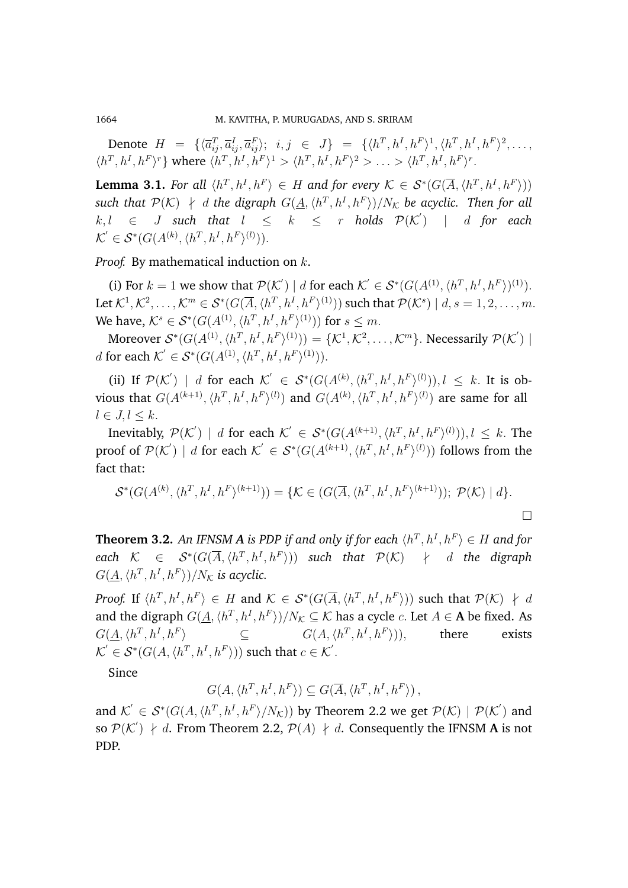1664 M. KAVITHA, P. MURUGADAS, AND S. SRIRAM

Denote  $H = \{ \langle \overline{a}_{ij}^T, \overline{a}_{ij}^I, \overline{a}_{ij}^F \rangle; i,j \in J \} = \{ \langle h^T, h^I, h^F \rangle^1, \langle h^T, h^I, h^F \rangle^2, \dots,$  $\langle h^T, h^I, h^F \rangle^r$ } where  $\langle h^T, h^I, h^F \rangle^1 > \langle h^T, h^I, h^F \rangle^2 > \ldots > \langle h^T, h^I, h^F \rangle^r$ .

**Lemma 3.1.** For all  $\langle h^T, h^I, h^F \rangle \in H$  and for every  $\mathcal{K} \in \mathcal{S}^*(G(\overline{A}, \langle h^T, h^I, h^F \rangle))$  $\mathsf{such}\; \mathsf{that}\; \mathcal{P}(\mathcal{K}) \;\nmid\; d$  the digraph  $G(\underline{A},\langle h^T,h^I,h^F\rangle)/N_\mathcal{K}$  be acyclic. Then for all  $k, l \in J$  such that  $l \leq k \leq r$  holds  $\mathcal{P}(\mathcal{K}')$  | d for each  $\mathcal{K}' \in \mathcal{S}^*(G(A^{(k)}, \langle h^T, h^I, h^F \rangle^{(l)})).$ 

*Proof.* By mathematical induction on k.

(i) For  $k = 1$  we show that  $\mathcal{P}(\mathcal{K}') \mid d$  for each  $\mathcal{K}' \in \mathcal{S}^*(G(A^{(1)}, \langle h^T, h^I, h^F \rangle)^{(1)}).$ Let  $\mathcal{K}^1,\mathcal{K}^2,\ldots,\mathcal{K}^m\in\mathcal{S}^*(G(\overline{A},\langle h^T,h^I,h^F\rangle^{(1)}))$  such that  $\mathcal{P}(\mathcal{K}^s)\mid d,s=1,2,\ldots,m.$ We have,  $K^s \in \mathcal{S}^*(G(A^{(1)}, \langle h^T, h^I, h^F \rangle^{(1)}))$  for  $s \leq m$ .

Moreover  $S^*(G(A^{(1)}, \langle h^T, h^I, h^F \rangle^{(1)})) = \{K^1, K^2, \ldots, K^m\}$ . Necessarily  $\mathcal{P}(\mathcal{K}')$ *d* for each  $K' \in \mathcal{S}^*(G(A^{(1)}, \langle h^T, h^I, h^F \rangle^{(1)})).$ 

(ii) If  $\mathcal{P}(\mathcal{K}')$  | d for each  $\mathcal{K}' \in \mathcal{S}^*(G(A^{(k)}, \langle h^T, h^I, h^F \rangle^{(l)})), l \leq k$ . It is obvious that  $G(A^{(k+1)},\langle h^T,h^I,h^F\rangle^{(l)})$  and  $G(A^{(k)},\langle h^T,h^I,h^F\rangle^{(l)})$  are same for all  $l \in J, l \leq k$ .

Inevitably,  $\mathcal{P}(\mathcal{K}')$  | d for each  $\mathcal{K}' \in \mathcal{S}^*(G(A^{(k+1)}, \langle h^T, h^I, h^F \rangle^{(l)})), l \leq k$ . The proof of  $\mathcal{P}(\mathcal{K}')$  | d for each  $\mathcal{K}' \in \mathcal{S}^*(G(A^{(k+1)}, \langle h^T, h^I, h^F \rangle^{(l)}))$  follows from the fact that:

$$
\mathcal{S}^*(G(A^{(k)}, \langle h^T, h^I, h^F \rangle^{(k+1)})) = \{ \mathcal{K} \in (G(\overline{A}, \langle h^T, h^I, h^F \rangle^{(k+1)})); \ \mathcal{P}(\mathcal{K}) \mid d \}.
$$

**Theorem 3.2.** An IFNSM **A** is PDP if and only if for each  $\langle h^T, h^I, h^F \rangle \in H$  and for  $\mathcal{R} \quad \in \quad \mathcal{S}^*(G(\overline{A},\langle h^T,h^I,h^F \rangle))$  such that  $\mathcal{P}(\mathcal{K}) \quad \nmid \quad d$  the digraph  $G(\underline{A}, \langle h^T, h^I, h^F \rangle)/N_{\mathcal{K}}$  is acyclic.

*Proof.* If  $\langle h^T, h^I, h^F \rangle \in H$  and  $\mathcal{K} \in \mathcal{S}^*(G(\overline{A}, \langle h^T, h^I, h^F \rangle))$  such that  $\mathcal{P}(\mathcal{K}) \neq d$ and the digraph  $G(\underline{A}, \langle h^T, h^I, h^F \rangle)/N_{\mathcal{K}} \subseteq \mathcal{K}$  has a cycle  $c$ . Let  $A \in \mathbf{A}$  be fixed. As  $G(\underline{A},\langle h^T,h^I,h^F$  $\subseteq$   $G(A, \langle h^T, h^I, h^F \rangle)$ there exists  $\mathcal{K}' \in \mathcal{S}^*(G(A, \langle h^T, h^I, h^F \rangle))$  such that  $c \in \mathcal{K}'.$ 

Since

$$
G(A, \langle h^T, h^I, h^F \rangle) \subseteq G(\overline{A}, \langle h^T, h^I, h^F \rangle),
$$

and  $\mathcal{K}' \in \mathcal{S}^*(G(A, \langle h^T, h^I, h^F \rangle / N_{\mathcal{K}}))$  by Theorem 2.2 we get  $\mathcal{P}(\mathcal{K}) \mid \mathcal{P}(\mathcal{K}')$  and so  $\mathcal{P}(\mathcal{K}') \neq d$ . From Theorem 2.2,  $\mathcal{P}(A) \neq d$ . Consequently the IFNSM **A** is not PDP.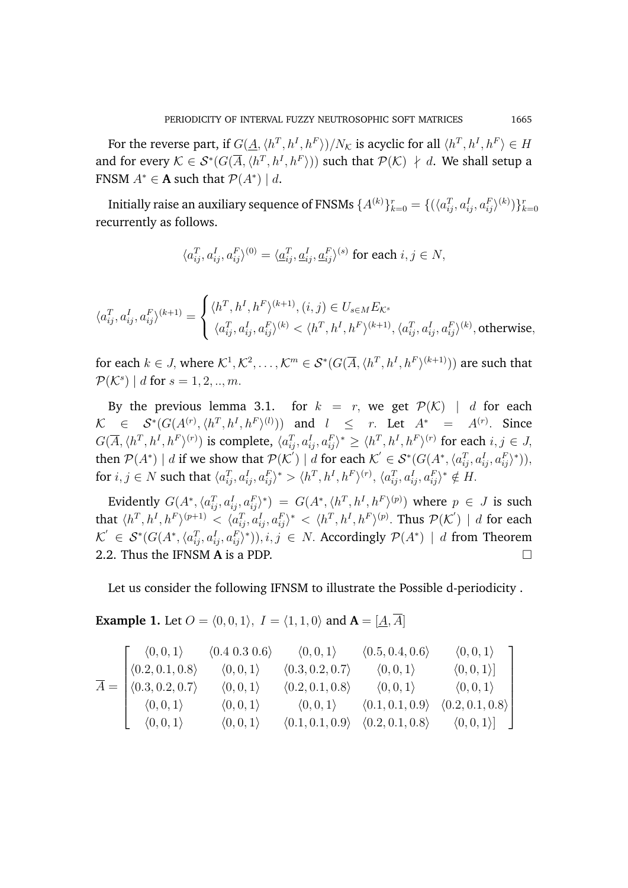For the reverse part, if  $G(\underline{A},\langle h^T,h^I,h^F\rangle)/N_\mathcal{K}$  is acyclic for all  $\langle h^T,h^I,h^F\rangle\in H$ and for every  $\mathcal{K} \in \mathcal{S}^*(G(\overline{A}, \langle h^T, h^I, h^F \rangle))$  such that  $\mathcal{P}(\mathcal{K}) \neq d$ . We shall setup a FNSM  $A^* \in \mathbf{A}$  such that  $\mathcal{P}(A^*) \mid d$ .

Initially raise an auxiliary sequence of FNSMs  $\{A^{(k)}\}_{k=0}^r=\{(\langle a_{ij}^T,a_{ij}^I,a_{ij}^F\rangle^{(k)})\}_{k=0}^r$ recurrently as follows.

$$
\langle a_{ij}^T, a_{ij}^I, a_{ij}^F \rangle^{(0)} = \langle \underline{a}_{ij}^T, \underline{a}_{ij}^I, \underline{a}_{ij}^F \rangle^{(s)} \text{ for each } i,j \in N,
$$

$$
\langle a_{ij}^T, a_{ij}^I, a_{ij}^F \rangle^{(k+1)} = \begin{cases} \langle h^T, h^I, h^F \rangle^{(k+1)}, (i,j) \in U_{s \in M} E_{\mathcal{K}^s} \\[1ex] \langle a_{ij}^T, a_{ij}^I, a_{ij}^F \rangle^{(k)} < \langle h^T, h^I, h^F \rangle^{(k+1)}, \langle a_{ij}^T, a_{ij}^I, a_{ij}^F \rangle^{(k)}, \text{otherwise}, \end{cases}
$$

for each  $k\in J$ , where  $\mathcal{K}^1,\mathcal{K}^2,\ldots,\mathcal{K}^m\in\mathcal{S}^*(G(\overline{A},\langle h^T,h^I,h^F\rangle^{(k+1)}))$  are such that  $\mathcal{P}(\mathcal{K}^s) \mid d \text{ for } s = 1, 2, ..., m.$ 

By the previous lemma 3.1. for  $k = r$ , we get  $\mathcal{P}(\mathcal{K})$  | d for each  $\mathcal{K} \in \mathcal{S}^*(G(A^{(r)},\langle h^T,h^I,h^F\rangle^{(l)}))$  and  $l \leq r$ . Let  $A^* = A^{(r)}$ . Since  $G(\overline{A},\langle h^T,h^I,h^F\rangle^{(r)})$  is complete,  $\langle a^T_{ij},a^I_{ij},a^F_{ij}\rangle^*\geq \langle h^T,h^I,h^F\rangle^{(r)}$  for each  $i,j\in J,$ then  $\mathcal{P}(A^*) \mid d$  if we show that  $\mathcal{P}(\mathcal{K}') \mid d$  for each  $\mathcal{K}' \in \mathcal{S}^*(G(A^*, \langle a_{ij}^T, a_{ij}^T, a_{ij}^F \rangle^*)),$ for  $i,j\in N$  such that  $\langle a_{ij}^T,a_{ij}^I,a_{ij}^F\rangle^*>\langle h^T,h^I,h^F\rangle^{(r)},$   $\langle a_{ij}^T,a_{ij}^I,a_{ij}^F\rangle^*\notin H.$ 

Evidently  $G(A^*,\langle a_{ij}^T,a_{ij}^I,a_{ij}^F\rangle^*)\;=\;G(A^*,\langle h^T,h^I,h^F\rangle^{(p)})$  where  $p\;\in\;J$  is such that  $\langle h^T, h^I, h^F \rangle^{(p+1)} < \langle a_{ij}^T, a_{ij}^I, a_{ij}^F \rangle^* < \langle h^T, h^I, h^F \rangle^{(p)}$ . Thus  $\mathcal{P}(\mathcal{K}') \mid d$  for each  $\mathcal{K}^{'}\in\mathcal{S}^*(G(A^*,\langle a_{ij}^T,a_{ij}^I,a_{ij}^F\rangle^*)), i,j\in N.$  Accordingly  $\mathcal{P}(A^*)\mid d$  from Theorem 2.2. Thus the IFNSM **A** is a PDP.

Let us consider the following IFNSM to illustrate the Possible d-periodicity .

**Example 1.** Let  $O = \langle 0, 0, 1 \rangle$ ,  $I = \langle 1, 1, 0 \rangle$  and  $A = [\underline{A}, \overline{A}]$ 

$$
\overline{A} = \begin{bmatrix}\n\langle 0, 0, 1 \rangle & \langle 0.4 \ 0.3 \ 0.6 \rangle & \langle 0, 0, 1 \rangle & \langle 0.5, 0.4, 0.6 \rangle & \langle 0, 0, 1 \rangle \\
\langle 0.2, 0.1, 0.8 \rangle & \langle 0, 0, 1 \rangle & \langle 0.3, 0.2, 0.7 \rangle & \langle 0, 0, 1 \rangle & \langle 0, 0, 1 \rangle \\
\langle 0.3, 0.2, 0.7 \rangle & \langle 0, 0, 1 \rangle & \langle 0.2, 0.1, 0.8 \rangle & \langle 0, 0, 1 \rangle & \langle 0, 0, 1 \rangle \\
\langle 0, 0, 1 \rangle & \langle 0, 0, 1 \rangle & \langle 0, 0, 1 \rangle & \langle 0.1, 0.1, 0.9 \rangle & \langle 0.2, 0.1, 0.8 \rangle \\
\langle 0, 0, 1 \rangle & \langle 0, 0, 1 \rangle & \langle 0.1, 0.1, 0.9 \rangle & \langle 0.2, 0.1, 0.8 \rangle & \langle 0, 0, 1 \rangle \end{bmatrix}
$$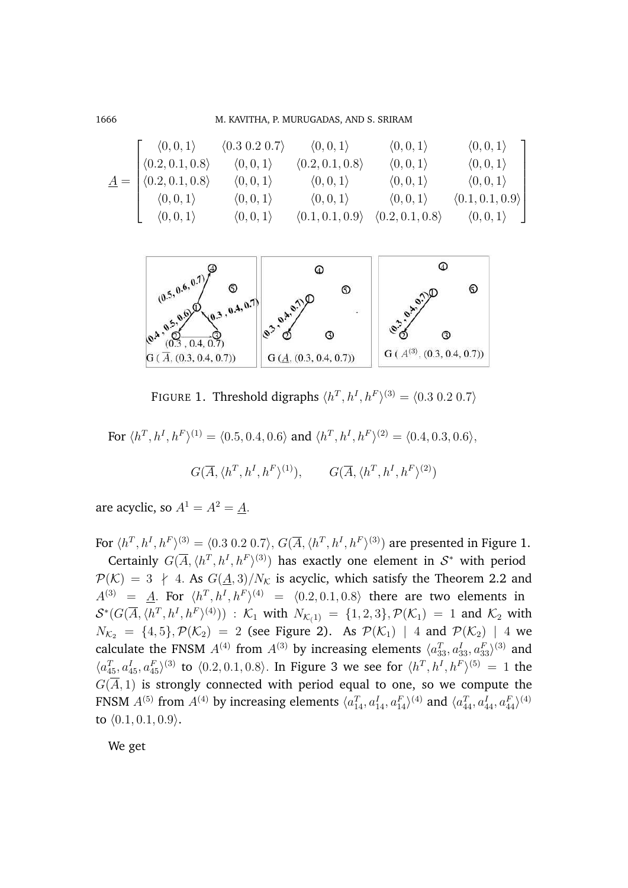1666 M. KAVITHA, P. MURUGADAS, AND S. SRIRAM

$$
\underline{A} = \begin{bmatrix} \langle 0, 0, 1 \rangle & \langle 0.3 \ 0.2 \ 0.2, 0.1, 0.8 \rangle & \langle 0, 0, 1 \rangle & \langle 0, 0, 1 \rangle & \langle 0, 0, 1 \rangle \\ \langle 0.2, 0.1, 0.8 \rangle & \langle 0, 0, 1 \rangle & \langle 0.2, 0.1, 0.8 \rangle & \langle 0, 0, 1 \rangle & \langle 0, 0, 1 \rangle \\ \langle 0.2, 0.1, 0.8 \rangle & \langle 0, 0, 1 \rangle & \langle 0, 0, 1 \rangle & \langle 0, 0, 1 \rangle & \langle 0, 0, 1 \rangle \\ \langle 0, 0, 1 \rangle & \langle 0, 0, 1 \rangle & \langle 0, 0, 1 \rangle & \langle 0, 0, 1 \rangle & \langle 0.1, 0.1, 0.9 \rangle \\ \langle 0, 0, 1 \rangle & \langle 0, 0, 1 \rangle & \langle 0.1, 0.1, 0.9 \rangle & \langle 0.2, 0.1, 0.8 \rangle & \langle 0, 0, 1 \rangle \end{bmatrix}
$$



FIGURE 1. Threshold digraphs  $\langle h^T, h^I, h^F \rangle^{(3)} = \langle 0.3 \ 0.2 \ 0.7 \rangle$ 

For  $\langle h^T, h^I, h^F \rangle^{(1)} = \langle 0.5, 0.4, 0.6 \rangle$  and  $\langle h^T, h^I, h^F \rangle^{(2)} = \langle 0.4, 0.3, 0.6 \rangle$ ,

$$
G(\overline{A}, \langle h^T, h^I, h^F \rangle^{(1)}), \qquad G(\overline{A}, \langle h^T, h^I, h^F \rangle^{(2)})
$$

are acyclic, so  $A^1 = A^2 = A$ .

For  $\langle h^T, h^I, h^F \rangle^{(3)} = \langle 0.3 \ 0.2 \ 0.7 \rangle,$   $G(\overline{A}, \langle h^T, h^I, h^F \rangle^{(3)})$  are presented in Figure 1.

Certainly  $G(\overline{A}, \langle h^T, h^I, h^F \rangle^{(3)})$  has exactly one element in  $S^*$  with period  $\mathcal{P}(\mathcal{K}) = 3 \neq 4$ . As  $G(\underline{A}, 3)/N_{\mathcal{K}}$  is acyclic, which satisfy the Theorem 2.2 and  $A^{(3)} = \underline{A}$ . For  $\langle h^T, h^I, h^F \rangle^{(4)} = \langle 0.2, 0.1, 0.8 \rangle$  there are two elements in  $\mathcal{S}^*(G(\overline{A},\langle h^T,h^I,h^F\rangle^{(4)}))$  :  $\mathcal{K}_1$  with  $N_{\mathcal{K}_\zeta(1)} = \{1,2,3\}, \mathcal{P}(\mathcal{K}_1) = 1$  and  $\mathcal{K}_2$  with  $N_{K_2} = \{4, 5\}, \mathcal{P}(\mathcal{K}_2) = 2$  (see Figure 2). As  $\mathcal{P}(\mathcal{K}_1)$  | 4 and  $\mathcal{P}(\mathcal{K}_2)$  | 4 we calculate the FNSM  $A^{(4)}$  from  $A^{(3)}$  by increasing elements  $\langle a_{33}^T, a_{33}^I, a_{33}^F \rangle^{(3)}$  and  $\langle a_{45}^T, a_{45}^I, a_{45}^F \rangle^{(3)}$  to  $\langle 0.2, 0.1, 0.8 \rangle$ . In Figure 3 we see for  $\langle h^T, h^I, h^F \rangle^{(5)} = 1$  the  $G(\overline{A}, 1)$  is strongly connected with period equal to one, so we compute the FNSM  $A^{(5)}$  from  $A^{(4)}$  by increasing elements  $\langle a_{14}^T, a_{14}^I, a_{14}^F \rangle^{(4)}$  and  $\langle a_{44}^T, a_{44}^I, a_{44}^F \rangle^{(4)}$ to  $(0.1, 0.1, 0.9)$ .

We get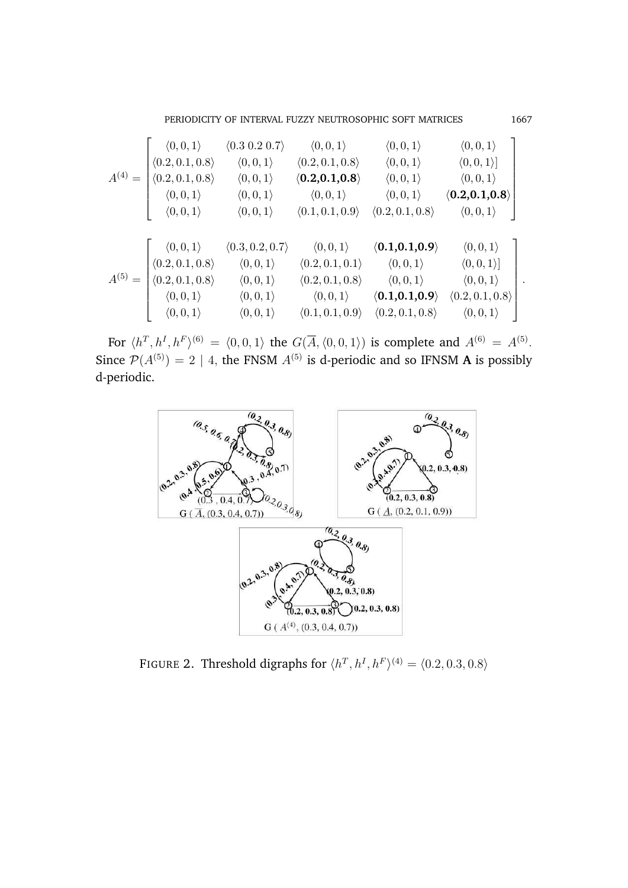PERIODICITY OF INTERVAL FUZZY NEUTROSOPHIC SOFT MATRICES 1667

|             | $\langle 0, 0, 1 \rangle$       | (0.3 0.2 0.7)                   | $\langle 0,0,1\rangle$          | $\langle 0,0,1\rangle$            | $\langle 0,0,1\rangle$          |  |
|-------------|---------------------------------|---------------------------------|---------------------------------|-----------------------------------|---------------------------------|--|
|             | $\langle 0.2, 0.1, 0.8 \rangle$ | $\langle 0,0,1\rangle$          | $\langle 0.2, 0.1, 0.8 \rangle$ | $\langle 0,0,1\rangle$            | $\langle 0,0,1\rangle ]$        |  |
| $A^{(4)}$   | $\langle 0.2, 0.1, 0.8 \rangle$ | $\langle 0,0,1\rangle$          | $\langle 0.2, 0.1, 0.8 \rangle$ | $\langle 0,0,1\rangle$            | $\langle 0,0,1\rangle$          |  |
|             | $\langle 0,0,1\rangle$          | $\langle 0,0,1\rangle$          | $\langle 0,0,1\rangle$          | $\langle 0,0,1\rangle$            | $\langle 0.2, 0.1, 0.8 \rangle$ |  |
|             | $\langle 0,0,1\rangle$          | $\langle 0,0,1\rangle$          | $\langle 0.1, 0.1, 0.9 \rangle$ | $\langle 0.2, 0.1, 0.8 \rangle$   | $\langle 0,0,1\rangle$          |  |
|             |                                 |                                 |                                 |                                   |                                 |  |
|             | $\langle 0,0,1\rangle$          | $\langle 0.3, 0.2, 0.7 \rangle$ | $\langle 0,0,1\rangle$          | $\langle 0.1,\!0.1,\!0.9 \rangle$ | $\langle 0,0,1\rangle$          |  |
|             | $\langle 0.2, 0.1, 0.8 \rangle$ | $\langle 0,0,1\rangle$          | $\langle 0.2, 0.1, 0.1 \rangle$ | $\langle 0,0,1\rangle$            | $\langle 0,0,1\rangle$          |  |
| $A^{(5)} =$ | $\langle 0.2, 0.1, 0.8 \rangle$ | $\langle 0,0,1\rangle$          | $\langle 0.2, 0.1, 0.8 \rangle$ | $\langle 0,0,1\rangle$            | $\langle 0,0,1\rangle$          |  |
|             | $\langle 0,0,1\rangle$          | $\langle 0,0,1\rangle$          | $\langle 0,0,1\rangle$          | $\langle 0.1,\!0.1,\!0.9 \rangle$ | $\langle 0.2, 0.1, 0.8 \rangle$ |  |
|             | $\langle 0,0,1\rangle$          | $\langle 0,0,1\rangle$          | $\langle 0.1, 0.1, 0.9 \rangle$ | $\langle 0.2, 0.1, 0.8 \rangle$   | $\langle 0,0,1\rangle$          |  |

For  $\langle h^T, h^I, h^F \rangle^{(6)} = \langle 0, 0, 1 \rangle$  the  $G(\overline{A}, \langle 0, 0, 1 \rangle)$  is complete and  $A^{(6)} = A^{(5)}$ . Since  $\mathcal{P}(A^{(5)}) = 2 \mid 4$ , the FNSM  $A^{(5)}$  is d-periodic and so IFNSM **A** is possibly d-periodic.



FIGURE 2. Threshold digraphs for  $\langle h^T, h^I, h^F \rangle^{(4)} = \langle 0.2, 0.3, 0.8 \rangle$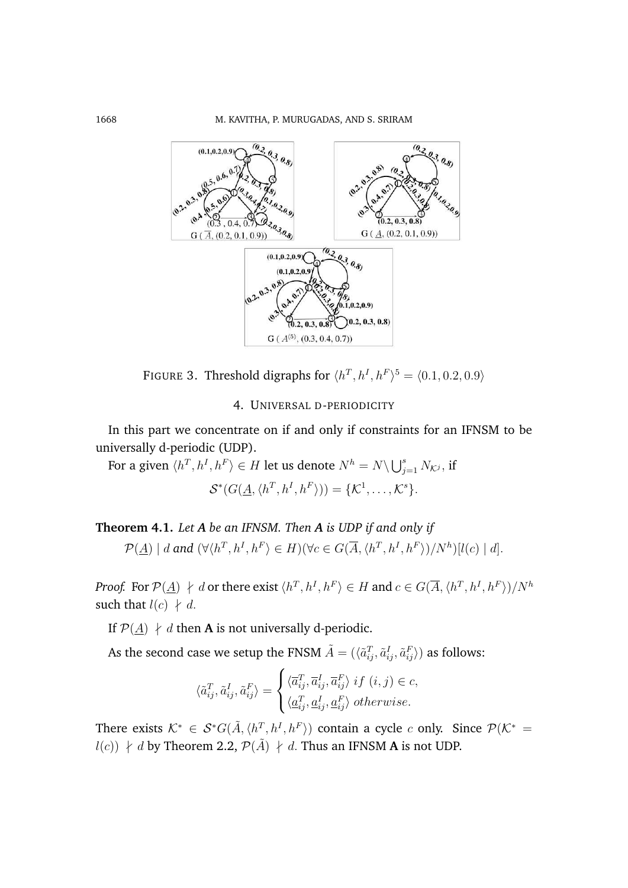

FIGURE 3. Threshold digraphs for  $\langle h^T, h^I, h^F \rangle^5 = \langle 0.1, 0.2, 0.9 \rangle$ 

# 4. UNIVERSAL D-PERIODICITY

In this part we concentrate on if and only if constraints for an IFNSM to be universally d-periodic (UDP).

For a given  $\langle h^T, h^I, h^F \rangle \in H$  let us denote  $N^h = N \setminus \bigcup_{j=1}^s N_{\mathcal{K}^j},$  if  $\mathcal{S}^*(G(\underline{A},\langle h^T,h^I,h^F\rangle))=\{\mathcal{K}^1,\ldots,\mathcal{K}^s\}.$ 

**Theorem 4.1.** *Let A be an IFNSM. Then A is UDP if and only if*  $\mathcal{P}(\underline{A}) \mid d$  and  $(\forall \langle h^T, h^I, h^F \rangle \in H)(\forall c \in G(\overline{A}, \langle h^T, h^I, h^F \rangle)/N^h)[l(c) \mid d].$ 

*Proof.* For  $\mathcal{P}(\underline{A}) \: \nmid \: d$  or there exist  $\langle h^T, h^I, h^F \rangle \in H$  and  $c \in G(\overline{A}, \langle h^T, h^I, h^F \rangle)/N^h$ such that  $l(c) \nmid d$ .

If  $P(A)$  ∤ d then **A** is not universally d-periodic.

As the second case we setup the FNSM  $\tilde{A} = (\langle \tilde{a}_{ij}^T, \tilde{a}_{ij}^I, \tilde{a}_{ij}^F \rangle)$  as follows:

$$
\langle \tilde{a}_{ij}^T, \tilde{a}_{ij}^I, \tilde{a}_{ij}^F \rangle = \begin{cases} \langle \overline{a}_{ij}^T, \overline{a}_{ij}^I, \overline{a}_{ij}^F \rangle \; if \; (i, j) \in c, \\ \langle \underline{a}_{ij}^T, \underline{a}_{ij}^I, \underline{a}_{ij}^F \rangle \; otherwise. \end{cases}
$$

There exists  $\mathcal{K}^* \in \mathcal{S}^*G(\tilde{A}, \langle h^T, h^I, h^F \rangle)$  contain a cycle c only. Since  $\mathcal{P}(\mathcal{K}^* =$  $l(c)$ )  $\nvdash d$  by Theorem 2.2,  $\mathcal{P}(\tilde{A})$   $\dashv d$ . Thus an IFNSM **A** is not UDP.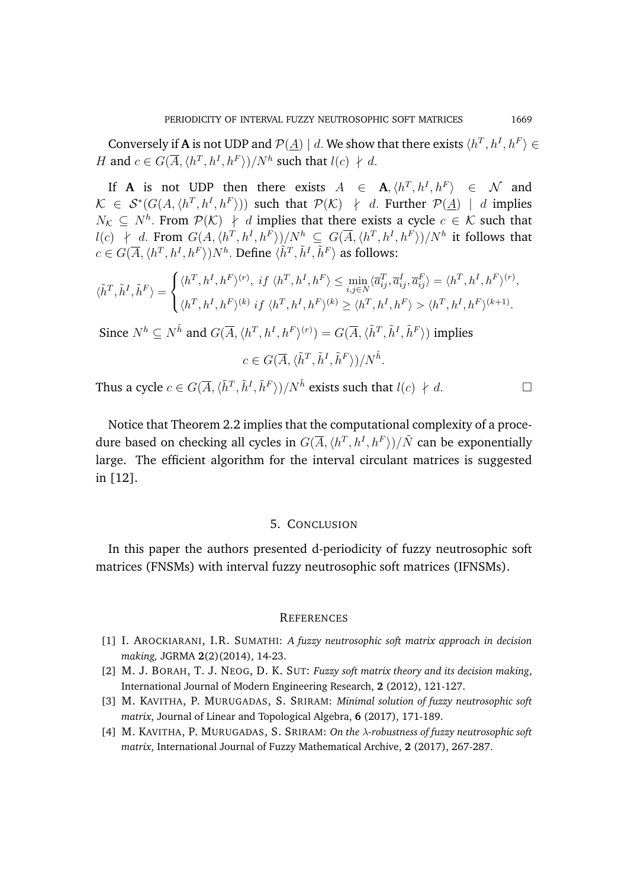Conversely if **A** is not UDP and  $\mathcal{P}(\underline{A}) \mid d$ . We show that there exists  $\langle h^T, h^I, h^F \rangle \in$ H and  $c \in G(\overline{A}, \langle h^T, h^I, h^F \rangle)/N^h$  such that  $l(c) \nmid d$ .

If **A** is not UDP then there exists  $A \in \mathbf{A}, \langle h^T, h^I, h^F \rangle \in \mathcal{N}$  and  $\mathcal{K} \in \mathcal{S}^*(G(A, \langle h^T, h^I, h^F \rangle))$  such that  $\mathcal{P}(\mathcal{K}) \neq d$ . Further  $\mathcal{P}(\underline{A}) \mid d$  implies  $N_{\mathcal{K}} \subseteq N^h$ . From  $\mathcal{P}(\mathcal{K}) \neq d$  implies that there exists a cycle  $c \in \mathcal{K}$  such that  $l(c)$  ∤ d. From  $G(A, \langle h^T, h^I, h^F \rangle)/N^h$  ⊆  $G(\overline{A}, \langle h^T, h^I, h^F \rangle)/N^h$  it follows that  $c \in G(\overline{A}, \langle h^T, h^I, h^F \rangle) N^h$ . Define  $\langle \tilde{h}^T, \tilde{h}^I, \tilde{h}^F \rangle$  as follows:

$$
\langle \tilde{h}^T, \tilde{h}^I, \tilde{h}^F \rangle = \begin{cases} \langle h^T, h^I, h^F \rangle^{(r)}, \; if \; \langle h^T, h^I, h^F \rangle \le \min_{i,j \in N} \langle \overline{a}_{ij}^T, \overline{a}_{ij}^I, \overline{a}_{ij}^F \rangle = \langle h^T, h^I, h^F \rangle^{(r)},\\ \langle h^T, h^I, h^F \rangle^{(k)} \; if \; \langle h^T, h^I, h^F \rangle^{(k)} \ge \langle h^T, h^I, h^F \rangle > \langle h^T, h^I, h^F \rangle^{(k+1)}. \end{cases}
$$

Since  $N^h \subseteq N^{\tilde{h}}$  and  $G(\overline{A}, \langle h^T, h^I, h^F \rangle^{(r)}) = G(\overline{A}, \langle \tilde{h}^T, \tilde{h}^I, \tilde{h}^F \rangle)$  implies

 $c \in G(\overline{A}, \langle \tilde{h}^T, \tilde{h}^I, \tilde{h}^F \rangle)/N^{\tilde{h}}$ .

Thus a cycle  $c \in G(\overline{A}, \langle \tilde{h}^T, \tilde{h}^I, \tilde{h}^F \rangle)/N^{\tilde{h}}$  exists such that  $l(c) \nmid d$ .

Notice that Theorem 2.2 implies that the computational complexity of a procedure based on checking all cycles in  $G(\overline{A}, \langle h^T, h^I, h^F \rangle)/\tilde{N}$  can be exponentially large. The efficient algorithm for the interval circulant matrices is suggested in [12].

### 5. CONCLUSION

In this paper the authors presented d-periodicity of fuzzy neutrosophic soft matrices (FNSMs) with interval fuzzy neutrosophic soft matrices (IFNSMs).

#### **REFERENCES**

- [1] I. AROCKIARANI, I.R. SUMATHI: *A fuzzy neutrosophic soft matrix approach in decision making,* JGRMA **2**(2)(2014), 14-23.
- [2] M. J. BORAH, T. J. NEOG, D. K. SUT: *Fuzzy soft matrix theory and its decision making*, International Journal of Modern Engineering Research, **2** (2012), 121-127.
- [3] M. KAVITHA, P. MURUGADAS, S. SRIRAM: *Minimal solution of fuzzy neutrosophic soft matrix*, Journal of Linear and Topological Algebra, **6** (2017), 171-189.
- [4] M. KAVITHA, P. MURUGADAS, S. SRIRAM: *On the* λ*-robustness of fuzzy neutrosophic soft matrix*, International Journal of Fuzzy Mathematical Archive, **2** (2017), 267-287.